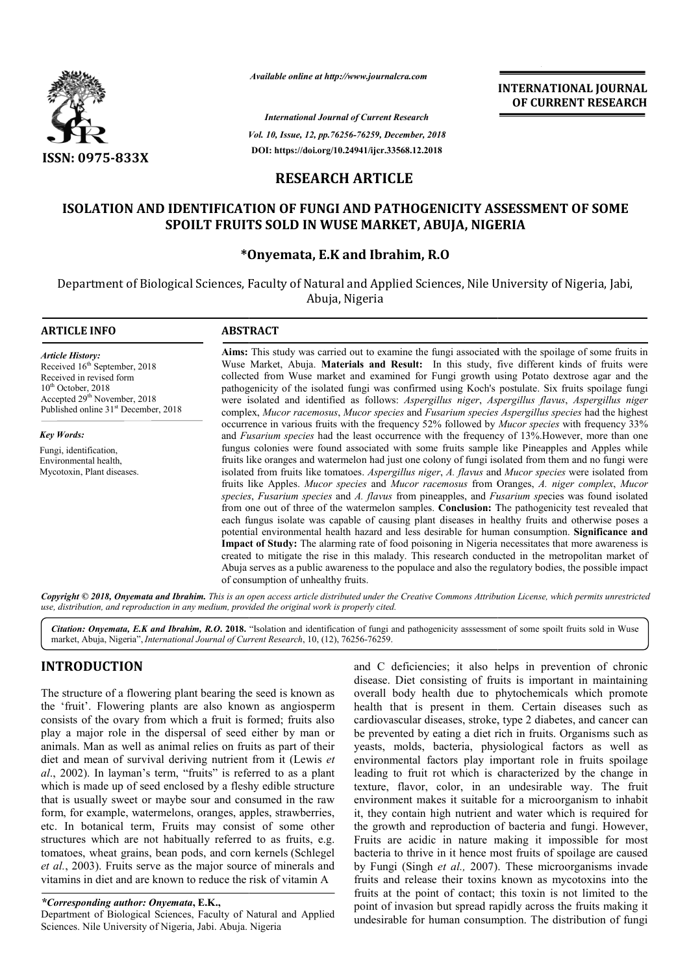

*Available online at http://www.journalcra.com*

*Vol. 10, Issue, 12, pp. pp.76256-76259, December, 2018 International Journal of Current Research* **DOI: https://doi.org/10.24941/ijcr.33568.12.2018**

**INTERNATIONAL JOURNAL OF CURRENT RESEARCH**

# **RESEARCH ARTICLE**

# ISOLATION AND IDENTIFICATION OF FUNGI AND PATHOGENICITY ASSESSMENT OF SOME<br>SPOILT FRUITS SOLD IN WUSE MARKET, ABUJA, NIGERIA **SPOILT FRUITS SOLD IN WUSE MARKET, ABUJA, NIGERIA**

## **\*Onyemata, E.K and Ibrahim, R.O**

Department of Biological Sciences, Faculty of Natural and Applied Sciences, Nile University of Nigeria, Jabi, Abuja, Nigeria

#### **ARTICLE INFO ABSTRACT**

*Article History:* Received  $16<sup>th</sup>$  September, 2018 Received in revised form  $10^{th}$  October,  $2018$ Accepted 29<sup>th</sup> November, 2018 Published online 31<sup>st</sup> December, 2018

*Key Words:* Fungi, identification, Environmental health, Mycotoxin, Plant diseases.

**Aims:** This study was carried out to examine the fungi associated with the spoilage of some fruits in Wuse Market, Abuja. **Materials and Result:** In this study, five different kinds of fruits were collected from Wuse market and examined for Fungi growth using Potato dextrose agar and the pathogenicity of the isolated fungi was confirmed using Koch's postulate. Six fruits spoilage fungi were isolated and identified as follows: *Aspergillus niger*, *Aspergillus flavus flavus*, *Aspergillus niger* complex, *Mucor racemosus*, *Mucor species* and *Fusarium species Aspergillus species* had the highest occurrence in various fruits with the frequency 52% followed by *Mucor species* with frequency 33% and *Fusarium species* had the least occurrence with the frequency of 13%. However, more than one fungus colonies were found associated with some fruits sample like Pineapples and Apples while fungus colonies were found associated with some fruits sample like Pineapples and Apples while fruits like oranges and watermelon had just one colony of fungi isolated from them and no fungi were isolated from fruits like tomatoes. *Aspergillus niger*, *A. flavus* and *Mucor species* were isolated from fruits like Apples. *Mucor species* and *Mucor racemosus* from Oranges, *A. niger complex*, *Mucor species* , *Fusarium species* and *A. flavus* from pineapples, and *Fusarium sp Fusarium sp*ecies was found isolated from one out of three of the watermelon samples. **Conclusion:** The pathogenicity test revealed that each fungus isolate was capable of causing plant diseases in healthy fruits and otherwise poses a each fungus isolate was capable of causing plant diseases in healthy fruits and otherwise poses a potential environmental health hazard and less desirable for human consumption. Significance and **Impact of Study:**  The alarming rate of food poisoning in Nigeria necessitates that more awareness is created to mitigate the rise in this malady. This research conducted in the metropolitan market of Abuja serves as a public awareness to the po populace and also the regulatory bodies, the possible impact of consumption of unhealthy fruits. Aims: This study was carried out to examine the fungi associated with the spoilage of some fruits in Wuse Market, Abuja. Materials and Result: In this study, five different kinds of fruits were collected from Wuse market a **Impact of Study:** The alarming rate of food poisoning in Nigeria necessitates that more awareness created to mitigate the rise in this malady. This research conducted in the metropolitan market Abuja serves as a public aw

Copyright © 2018, Onyemata and Ibrahim. This is an open access article distributed under the Creative Commons Attribution License, which permits unrestrictea *use, distribution, and reproduction in any medium, provided the original work is properly cited.*

Citation: Onyemata, E.K and Ibrahim, R.O. 2018. "Isolation and identification of fungi and pathogenicity assessment of some spoilt fruits sold in Wuse market, Abuja, Nigeria", *International Journal of Current Research*, 10, (12), 76256-76259.

# **INTRODUCTION**

The structure of a flowering plant bearing the seed is known as the 'fruit'. Flowering plants are also known as angiosperm consists of the ovary from which a fruit is formed; fruits also play a major role in the dispersal of seed either by man or animals. Man as well as animal relies on fruits as part of their diet and mean of survival deriving nutrient from it (Lewis *et al*., 2002). In layman's term, "fruits" is referred to as a plant which is made up of seed enclosed by a fleshy edible structure that is usually sweet or maybe sour and consumed in the raw form, for example, watermelons, oranges, apples, strawberries, etc. In botanical term, Fruits may consist of some other structures which are not habitually referred to as fruits, e.g. tomatoes, wheat grains, bean pods, and corn kernels (Schlegel *et al.*, 2003). Fruits serve as the major source of minerals and vitamins in diet and are known to reduce the risk of vitamin A ually sweet or maybe sour and consumed in the raw<br>example, watermelons, oranges, apples, strawberries,<br>ootanical term, Fruits may consist of some other<br>which are not habitually referred to as fruits, e.g.<br>wheat grains, bea

*\*Corresponding author: Onyemata***, E.K.,**

Department of Biological Sciences, Faculty of Natural and Applied Sciences. Nile University of Nigeria, Jabi. Abuja. Nigeria

and C deficiencies; it also helps in prevention of chronic disease. Diet consisting of fruits is important in maintaining and C deficiencies; it also helps in prevention of chronic disease. Diet consisting of fruits is important in maintaining overall body health due to phytochemicals which promote health that is present in them. Certain diseases such as cardiovascular diseases, stroke, type 2 diabetes, and cancer can be prevented by eating a diet rich in fruits. Organisms such as yeasts, molds, bacteria, physiological factors as well as environmental factors play important role in fruits spoilage leading to fruit rot which is characterized by the change in texture, flavor, color, in an undesirable way. The fruit environment makes it suitable for a microorganism to inhabit it, they contain high nutrient and water which is required for the growth and reproduction of bacteria and fungi. However, Fruits are acidic in nature making it impossible for most bacteria to thrive in it hence most fruits of spoilage are caused by Fungi (Singh *et al.,* 2007). The fruits and release their toxins known as mycotoxins into the fruits at the point of contact; this toxin is not limited to the point of invasion but spread rapidly across the fruits making it undesirable for human consumption. The distribution of fungi lth that is present in them. Certain diseases such as diovascular diseases, stroke, type 2 diabetes, and cancer can prevented by eating a diet rich in fruits. Organisms such as stst, molds, bacteria, physiological factors elease their toxins known as mycotoxins into the point of contact; this toxin is not limited to the asion but spread rapidly across the fruits making it for human consumption. The distribution of fungi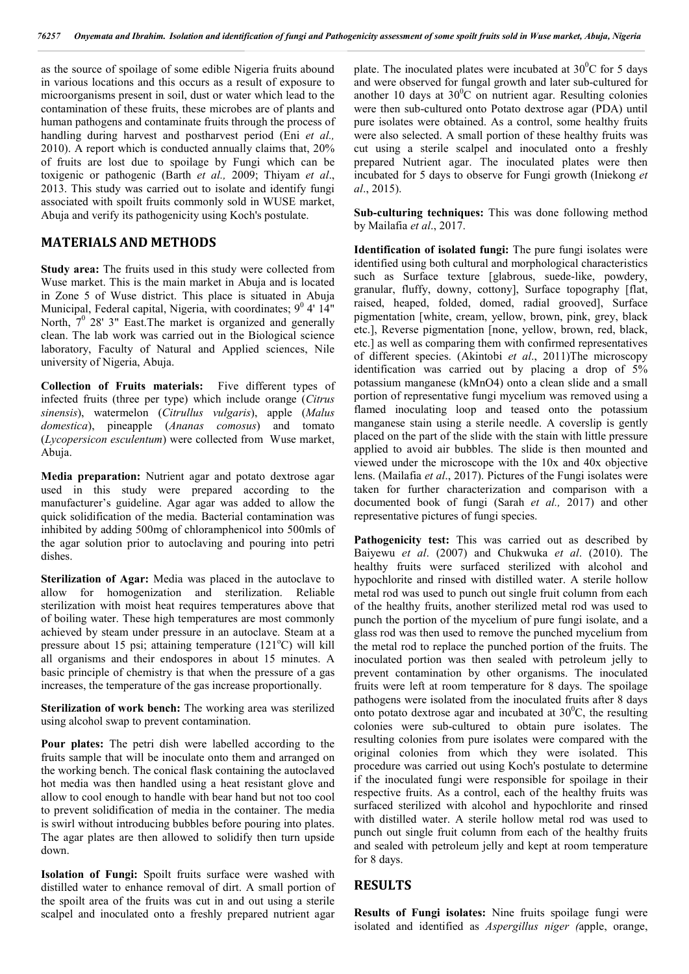as the source of spoilage of some edible Nigeria fruits abound in various locations and this occurs as a result of exposure to microorganisms present in soil, dust or water which lead to the contamination of these fruits, these microbes are of plants and human pathogens and contaminate fruits through the process of handling during harvest and postharvest period (Eni *et al.,*  2010). A report which is conducted annually claims that, 20% of fruits are lost due to spoilage by Fungi which can be toxigenic or pathogenic (Barth *et al.,* 2009; Thiyam *et al*., 2013. This study was carried out to isolate and identify fungi associated with spoilt fruits commonly sold in WUSE market, Abuja and verify its pathogenicity using Koch's postulate.

## **MATERIALS AND METHODS**

**Study area:** The fruits used in this study were collected from Wuse market. This is the main market in Abuja and is located in Zone 5 of Wuse district. This place is situated in Abuja Municipal, Federal capital, Nigeria, with coordinates;  $9^0$  4' 14" North,  $7^0$  28' 3" East. The market is organized and generally clean. The lab work was carried out in the Biological science laboratory, Faculty of Natural and Applied sciences, Nile university of Nigeria, Abuja.

**Collection of Fruits materials:** Five different types of infected fruits (three per type) which include orange (*Citrus sinensis*), watermelon (*Citrullus vulgaris*), apple (*Malus domestica*), pineapple (*Ananas comosus*) and tomato (*Lycopersicon esculentum*) were collected from Wuse market, Abuja.

**Media preparation:** Nutrient agar and potato dextrose agar used in this study were prepared according to the manufacturer's guideline. Agar agar was added to allow the quick solidification of the media. Bacterial contamination was inhibited by adding 500mg of chloramphenicol into 500mls of the agar solution prior to autoclaving and pouring into petri dishes.

**Sterilization of Agar:** Media was placed in the autoclave to allow for homogenization and sterilization. Reliable sterilization with moist heat requires temperatures above that of boiling water. These high temperatures are most commonly achieved by steam under pressure in an autoclave. Steam at a pressure about 15 psi; attaining temperature (121°C) will kill all organisms and their endospores in about 15 minutes. A basic principle of chemistry is that when the pressure of a gas increases, the temperature of the gas increase proportionally.

**Sterilization of work bench:** The working area was sterilized using alcohol swap to prevent contamination.

**Pour plates:** The petri dish were labelled according to the fruits sample that will be inoculate onto them and arranged on the working bench. The conical flask containing the autoclaved hot media was then handled using a heat resistant glove and allow to cool enough to handle with bear hand but not too cool to prevent solidification of media in the container. The media is swirl without introducing bubbles before pouring into plates. The agar plates are then allowed to solidify then turn upside down.

**Isolation of Fungi:** Spoilt fruits surface were washed with distilled water to enhance removal of dirt. A small portion of the spoilt area of the fruits was cut in and out using a sterile scalpel and inoculated onto a freshly prepared nutrient agar

plate. The inoculated plates were incubated at  $30^{\circ}$ C for 5 days and were observed for fungal growth and later sub-cultured for another 10 days at  $30^{\circ}$ C on nutrient agar. Resulting colonies were then sub-cultured onto Potato dextrose agar (PDA) until pure isolates were obtained. As a control, some healthy fruits were also selected. A small portion of these healthy fruits was cut using a sterile scalpel and inoculated onto a freshly prepared Nutrient agar. The inoculated plates were then incubated for 5 days to observe for Fungi growth (Iniekong *et al*., 2015).

**Sub-culturing techniques:** This was done following method by Mailafia *et al*., 2017.

**Identification of isolated fungi:** The pure fungi isolates were identified using both cultural and morphological characteristics such as Surface texture [glabrous, suede-like, powdery, granular, fluffy, downy, cottony], Surface topography [flat, raised, heaped, folded, domed, radial grooved], Surface pigmentation [white, cream, yellow, brown, pink, grey, black etc.], Reverse pigmentation [none, yellow, brown, red, black, etc.] as well as comparing them with confirmed representatives of different species. (Akintobi *et al*., 2011)The microscopy identification was carried out by placing a drop of 5% potassium manganese (kMnO4) onto a clean slide and a small portion of representative fungi mycelium was removed using a flamed inoculating loop and teased onto the potassium manganese stain using a sterile needle. A coverslip is gently placed on the part of the slide with the stain with little pressure applied to avoid air bubbles. The slide is then mounted and viewed under the microscope with the 10x and 40x objective lens. (Mailafia *et al*., 2017). Pictures of the Fungi isolates were taken for further characterization and comparison with a documented book of fungi (Sarah *et al.,* 2017) and other representative pictures of fungi species.

Pathogenicity test: This was carried out as described by Baiyewu *et al*. (2007) and Chukwuka *et al*. (2010). The healthy fruits were surfaced sterilized with alcohol and hypochlorite and rinsed with distilled water. A sterile hollow metal rod was used to punch out single fruit column from each of the healthy fruits, another sterilized metal rod was used to punch the portion of the mycelium of pure fungi isolate, and a glass rod was then used to remove the punched mycelium from the metal rod to replace the punched portion of the fruits. The inoculated portion was then sealed with petroleum jelly to prevent contamination by other organisms. The inoculated fruits were left at room temperature for 8 days. The spoilage pathogens were isolated from the inoculated fruits after 8 days onto potato dextrose agar and incubated at  $30^{\circ}$ C, the resulting colonies were sub-cultured to obtain pure isolates. The resulting colonies from pure isolates were compared with the original colonies from which they were isolated. This procedure was carried out using Koch's postulate to determine if the inoculated fungi were responsible for spoilage in their respective fruits. As a control, each of the healthy fruits was surfaced sterilized with alcohol and hypochlorite and rinsed with distilled water. A sterile hollow metal rod was used to punch out single fruit column from each of the healthy fruits and sealed with petroleum jelly and kept at room temperature for 8 days.

## **RESULTS**

**Results of Fungi isolates:** Nine fruits spoilage fungi were isolated and identified as *Aspergillus niger (*apple, orange,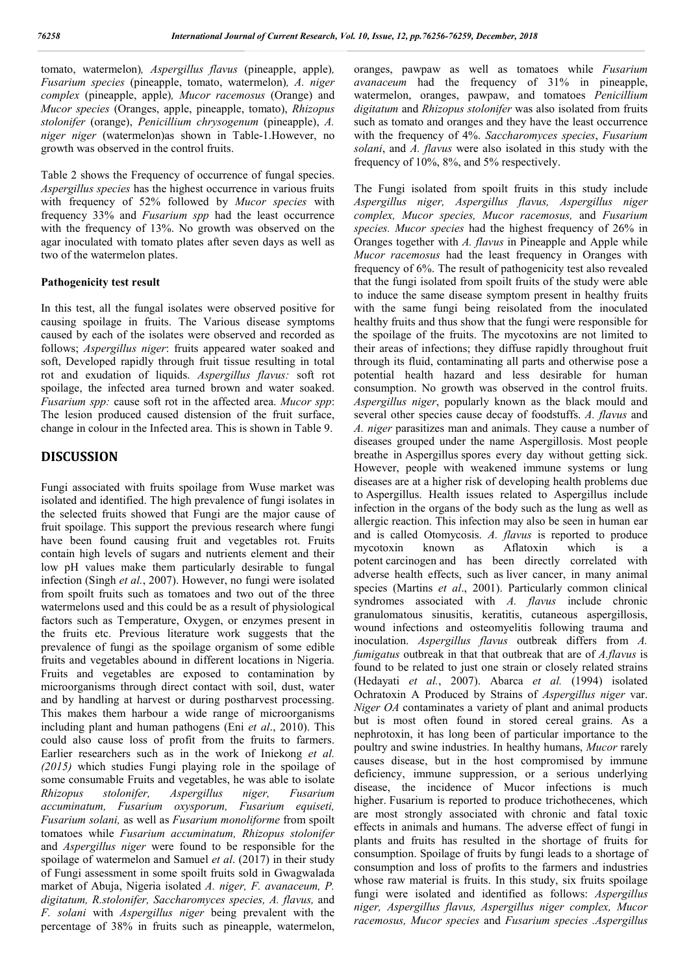tomato, watermelon)*, Aspergillus flavus* (pineapple, apple)*, Fusarium species* (pineapple, tomato, watermelon)*, A. niger complex* (pineapple, apple)*, Mucor racemosus* (Orange) and *Mucor species* (Oranges, apple, pineapple, tomato), *Rhizopus stolonifer* (orange), *Penicillium chrysogenum* (pineapple), *A. niger niger* (watermelon)as shown in Table-1.However, no growth was observed in the control fruits.

Table 2 shows the Frequency of occurrence of fungal species. *Aspergillus species* has the highest occurrence in various fruits with frequency of 52% followed by *Mucor species* with frequency 33% and *Fusarium spp* had the least occurrence with the frequency of 13%. No growth was observed on the agar inoculated with tomato plates after seven days as well as two of the watermelon plates.

### **Pathogenicity test result**

In this test, all the fungal isolates were observed positive for causing spoilage in fruits. The Various disease symptoms caused by each of the isolates were observed and recorded as follows; *Aspergillus niger*: fruits appeared water soaked and soft, Developed rapidly through fruit tissue resulting in total rot and exudation of liquids. *Aspergillus flavus:* soft rot spoilage, the infected area turned brown and water soaked. *Fusarium spp:* cause soft rot in the affected area. *Mucor spp*: The lesion produced caused distension of the fruit surface, change in colour in the Infected area. This is shown in Table 9.

# **DISCUSSION**

Fungi associated with fruits spoilage from Wuse market was isolated and identified. The high prevalence of fungi isolates in the selected fruits showed that Fungi are the major cause of fruit spoilage. This support the previous research where fungi have been found causing fruit and vegetables rot. Fruits contain high levels of sugars and nutrients element and their low pH values make them particularly desirable to fungal infection (Singh *et al.*, 2007). However, no fungi were isolated from spoilt fruits such as tomatoes and two out of the three watermelons used and this could be as a result of physiological factors such as Temperature, Oxygen, or enzymes present in the fruits etc. Previous literature work suggests that the prevalence of fungi as the spoilage organism of some edible fruits and vegetables abound in different locations in Nigeria. Fruits and vegetables are exposed to contamination by microorganisms through direct contact with soil, dust, water and by handling at harvest or during postharvest processing. This makes them harbour a wide range of microorganisms including plant and human pathogens (Eni *et al*., 2010). This could also cause loss of profit from the fruits to farmers. Earlier researchers such as in the work of Iniekong *et al. (2015)* which studies Fungi playing role in the spoilage of some consumable Fruits and vegetables, he was able to isolate *Rhizopus stolonifer, Aspergillus niger, Fusarium accuminatum, Fusarium oxysporum, Fusarium equiseti, Fusarium solani,* as well as *Fusarium monoliforme* from spoilt tomatoes while *Fusarium accuminatum, Rhizopus stolonifer*  and *Aspergillus niger* were found to be responsible for the spoilage of watermelon and Samuel *et al*. (2017) in their study of Fungi assessment in some spoilt fruits sold in Gwagwalada market of Abuja, Nigeria isolated *A. niger, F. avanaceum, P. digitatum, R.stolonifer, Saccharomyces species, A. flavus,* and *F. solani* with *Aspergillus niger* being prevalent with the percentage of 38% in fruits such as pineapple, watermelon, oranges, pawpaw as well as tomatoes while *Fusarium avanaceum* had the frequency of 31% in pineapple, watermelon, oranges, pawpaw, and tomatoes *Penicillium digitatum* and *Rhizopus stolonifer* was also isolated from fruits such as tomato and oranges and they have the least occurrence with the frequency of 4%. *Saccharomyces species*, *Fusarium solani*, and *A. flavus* were also isolated in this study with the frequency of 10%, 8%, and 5% respectively.

The Fungi isolated from spoilt fruits in this study include *Aspergillus niger, Aspergillus flavus, Aspergillus niger complex, Mucor species, Mucor racemosus,* and *Fusarium species. Mucor species* had the highest frequency of 26% in Oranges together with *A. flavus* in Pineapple and Apple while *Mucor racemosus* had the least frequency in Oranges with frequency of 6%. The result of pathogenicity test also revealed that the fungi isolated from spoilt fruits of the study were able to induce the same disease symptom present in healthy fruits with the same fungi being reisolated from the inoculated healthy fruits and thus show that the fungi were responsible for the spoilage of the fruits. The mycotoxins are not limited to their areas of infections; they diffuse rapidly throughout fruit through its fluid, contaminating all parts and otherwise pose a potential health hazard and less desirable for human consumption. No growth was observed in the control fruits. *Aspergillus niger*, popularly known as the black mould and several other species cause decay of foodstuffs. *A. flavus* and *A. niger* parasitizes man and animals. They cause a number of diseases grouped under the name Aspergillosis. Most people breathe in Aspergillus spores every day without getting sick. However, people with weakened immune systems or lung diseases are at a higher risk of developing health problems due to Aspergillus. Health issues related to Aspergillus include infection in the organs of the body such as the lung as well as allergic reaction. This infection may also be seen in human ear and is called Otomycosis. *A. flavus* is reported to produce mycotoxin known as Aflatoxin which is a potent carcinogen and has been directly correlated with adverse health effects, such as liver cancer, in many animal species (Martins *et al*., 2001). Particularly common clinical syndromes associated with *A. flavus* include chronic granulomatous sinusitis, keratitis, cutaneous aspergillosis, wound infections and osteomyelitis following trauma and inoculation. *Aspergillus flavus* outbreak differs from *A. fumigatus* outbreak in that that outbreak that are of *A.flavus* is found to be related to just one strain or closely related strains (Hedayati *et al.*, 2007). Abarca *et al.* (1994) isolated Ochratoxin A Produced by Strains of *Aspergillus niger* var. *Niger OA* contaminates a variety of plant and animal products but is most often found in stored cereal grains. As a nephrotoxin, it has long been of particular importance to the poultry and swine industries. In healthy humans, *Mucor* rarely causes disease, but in the host compromised by immune deficiency, immune suppression, or a serious underlying disease, the incidence of Mucor infections is much higher. Fusarium is reported to produce trichothecenes, which are most strongly associated with chronic and fatal toxic effects in animals and humans. The adverse effect of fungi in plants and fruits has resulted in the shortage of fruits for consumption. Spoilage of fruits by fungi leads to a shortage of consumption and loss of profits to the farmers and industries whose raw material is fruits. In this study, six fruits spoilage fungi were isolated and identified as follows: *Aspergillus niger, Aspergillus flavus, Aspergillus niger complex, Mucor racemosus, Mucor species* and *Fusarium species .Aspergillus*